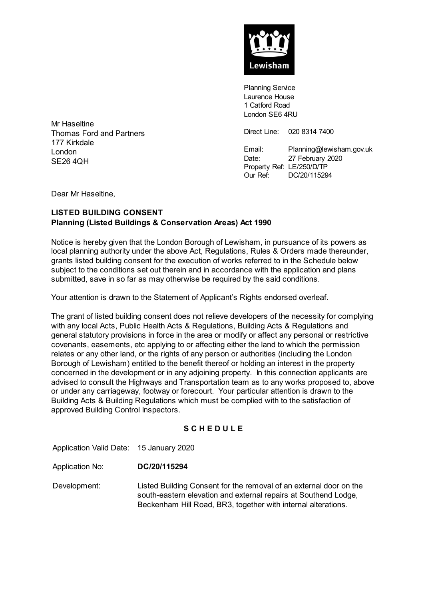

Planning Service Laurence House 1 Catford Road London SE6 4RU

Direct Line: 020 8314 7400

Email: Planning@lewisham.gov.uk Date: 27 February 2020 Property Ref: LE/250/D/TP Our Ref: DC/20/115294

Mr Haseltine Thomas Ford and Partners 177 Kirkdale London SE26 4QH

Dear Mr Haseltine,

# **LISTED BUILDING CONSENT Planning (Listed Buildings & Conservation Areas) Act 1990**

Notice is hereby given that the London Borough of Lewisham, in pursuance of its powers as local planning authority under the above Act, Regulations, Rules & Orders made thereunder, grants listed building consent for the execution of works referred to in the Schedule below subject to the conditions set out therein and in accordance with the application and plans submitted, save in so far as may otherwise be required by the said conditions.

Your attention is drawn to the Statement of Applicant's Rights endorsed overleaf.

The grant of listed building consent does not relieve developers of the necessity for complying with any local Acts, Public Health Acts & Regulations, Building Acts & Regulations and general statutory provisions in force in the area or modify or affect any personal or restrictive covenants, easements, etc applying to or affecting either the land to which the permission relates or any other land, or the rights of any person or authorities (including the London Borough of Lewisham) entitled to the benefit thereof or holding an interest in the property concerned in the development or in any adjoining property. In this connection applicants are advised to consult the Highways and Transportation team as to any works proposed to, above or under any carriageway, footway or forecourt. Your particular attention is drawn to the Building Acts & Building Regulations which must be complied with to the satisfaction of approved Building Control Inspectors.

## **S C H E D U L E**

Application Valid Date: 15 January 2020

Application No: **DC/20/115294**

Development: Listed Building Consent for the removal of an external door on the south-eastern elevation and external repairs at Southend Lodge, Beckenham Hill Road, BR3, together with internal alterations.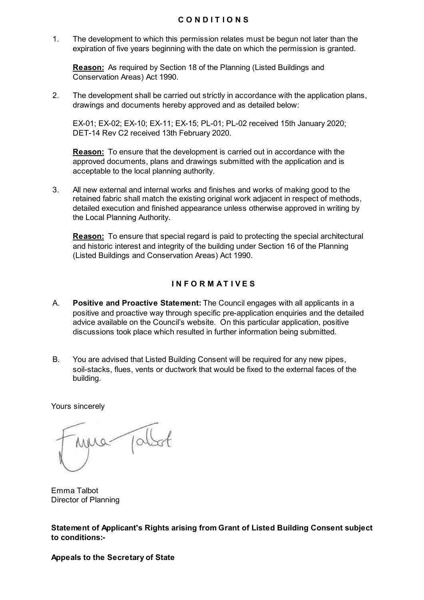### **C O N D I T I O N S**

1. The development to which this permission relates must be begun not later than the expiration of five years beginning with the date on which the permission is granted.

**Reason:** As required by Section 18 of the Planning (Listed Buildings and Conservation Areas) Act 1990.

2. The development shall be carried out strictly in accordance with the application plans, drawings and documents hereby approved and as detailed below:

EX-01; EX-02; EX-10; EX-11; EX-15; PL-01; PL-02 received 15th January 2020; DET-14 Rev C2 received 13th February 2020.

**Reason:** To ensure that the development is carried out in accordance with the approved documents, plans and drawings submitted with the application and is acceptable to the local planning authority.

3. All new external and internal works and finishes and works of making good to the retained fabric shall match the existing original work adjacent in respect of methods, detailed execution and finished appearance unless otherwise approved in writing by the Local Planning Authority.

**Reason:** To ensure that special regard is paid to protecting the special architectural and historic interest and integrity of the building under Section 16 of the Planning (Listed Buildings and Conservation Areas) Act 1990.

## **I N F O R M A T I V E S**

- A. **Positive and Proactive Statement:** The Council engages with all applicants in a positive and proactive way through specific pre-application enquiries and the detailed advice available on the Council's website. On this particular application, positive discussions took place which resulted in further information being submitted.
- B. You are advised that Listed Building Consent will be required for any new pipes, soil-stacks, flues, vents or ductwork that would be fixed to the external faces of the building.

Yours sincerely

 $\Lambda$ a-

Emma Talbot Director of Planning

**Statement of Applicant's Rights arising from Grant of Listed Building Consent subject to conditions:-**

#### **Appeals to the Secretary of State**